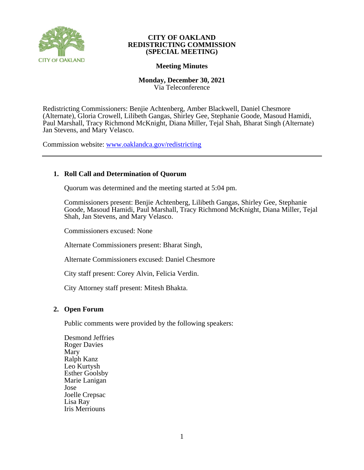

# **Meeting Minutes**

## **Monday, December 30, 2021** Via Teleconference

Redistricting Commissioners: Benjie Achtenberg, Amber Blackwell, Daniel Chesmore (Alternate), Gloria Crowell, Lilibeth Gangas, Shirley Gee, Stephanie Goode, Masoud Hamidi, Paul Marshall, Tracy Richmond McKnight, Diana Miller, Tejal Shah, Bharat Singh (Alternate) Jan Stevens, and Mary Velasco.

Commission website: [www.oaklandca.gov/redistricting](https://www.oaklandca.gov/boards-commissions/redistricting-commission/meetings)

# **1. Roll Call and Determination of Quorum**

Quorum was determined and the meeting started at 5:04 pm.

Commissioners present: Benjie Achtenberg, Lilibeth Gangas, Shirley Gee, Stephanie Goode, Masoud Hamidi, Paul Marshall, Tracy Richmond McKnight, Diana Miller, Tejal Shah, Jan Stevens, and Mary Velasco.

Commissioners excused: None

Alternate Commissioners present: Bharat Singh,

Alternate Commissioners excused: Daniel Chesmore

City staff present: Corey Alvin, Felicia Verdin.

City Attorney staff present: Mitesh Bhakta.

### **2. Open Forum**

Public comments were provided by the following speakers:

Desmond Jeffries Roger Davies Mary Ralph Kanz Leo Kurtysh Esther Goolsby Marie Lanigan Jose Joelle Crepsac Lisa Ray Iris Merriouns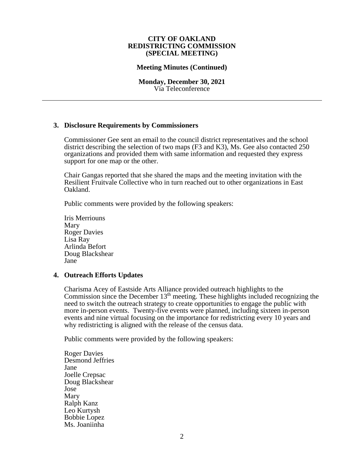### **Meeting Minutes (Continued)**

**Monday, December 30, 2021** Via Teleconference

### **3. Disclosure Requirements by Commissioners**

Commissioner Gee sent an email to the council district representatives and the school district describing the selection of two maps (F3 and K3), Ms. Gee also contacted 250 organizations and provided them with same information and requested they express support for one map or the other.

Chair Gangas reported that she shared the maps and the meeting invitation with the Resilient Fruitvale Collective who in turn reached out to other organizations in East Oakland.

Public comments were provided by the following speakers:

Iris Merriouns Mary Roger Davies Lisa Ray Arlinda Befort Doug Blackshear Jane

### **4. Outreach Efforts Updates**

Charisma Acey of Eastside Arts Alliance provided outreach highlights to the Commission since the December  $13<sup>th</sup>$  meeting. These highlights included recognizing the need to switch the outreach strategy to create opportunities to engage the public with more in-person events. Twenty-five events were planned, including sixteen in-person events and nine virtual focusing on the importance for redistricting every 10 years and why redistricting is aligned with the release of the census data.

Public comments were provided by the following speakers:

Roger Davies Desmond Jeffries Jane Joelle Crepsac Doug Blackshear Jose Mary Ralph Kanz Leo Kurtysh Bobbie Lopez Ms. Joaniinha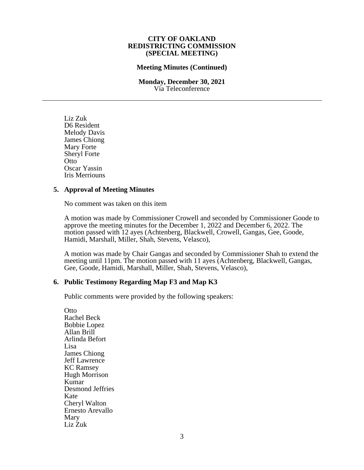### **Meeting Minutes (Continued)**

#### **Monday, December 30, 2021** Via Teleconference

Liz Zuk D6 Resident Melody Davis James Chiong Mary Forte Sheryl Forte Otto Oscar Yassin Iris Merriouns

### **5. Approval of Meeting Minutes**

No comment was taken on this item

A motion was made by Commissioner Crowell and seconded by Commissioner Goode to approve the meeting minutes for the December 1, 2022 and December 6, 2022. The motion passed with 12 ayes (Achtenberg, Blackwell, Crowell, Gangas, Gee, Goode, Hamidi, Marshall, Miller, Shah, Stevens, Velasco),

A motion was made by Chair Gangas and seconded by Commissioner Shah to extend the meeting until 11pm. The motion passed with 11 ayes (Achtenberg, Blackwell, Gangas, Gee, Goode, Hamidi, Marshall, Miller, Shah, Stevens, Velasco),

# **6. Public Testimony Regarding Map F3 and Map K3**

Public comments were provided by the following speakers:

**Otto** Rachel Beck Bobbie Lopez Allan Brill Arlinda Befort Lisa James Chiong Jeff Lawrence KC Ramsey Hugh Morrison Kumar Desmond Jeffries Kate Cheryl Walton Ernesto Arevallo Mary Liz Zuk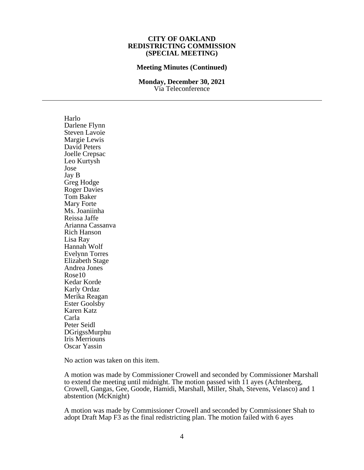#### **Meeting Minutes (Continued)**

#### **Monday, December 30, 2021** Via Teleconference

Harlo Darlene Flynn Steven Lavoie Margie Lewis David Peters Joelle Crepsac Leo Kurtysh Jose Jay B Greg Hodge Roger Davies Tom Baker Mary Forte Ms. Joaniinha Reissa Jaffe Arianna Cassanva Rich Hanson Lisa Ray Hannah Wolf Evelynn Torres Elizabeth Stage Andrea Jones Rose10 Kedar Korde Karly Ordaz Merika Reagan Ester Goolsby Karen Katz Carla Peter Seidl DGrigssMurphu Iris Merriouns Oscar Yassin

No action was taken on this item.

A motion was made by Commissioner Crowell and seconded by Commissioner Marshall to extend the meeting until midnight. The motion passed with 11 ayes (Achtenberg, Crowell, Gangas, Gee, Goode, Hamidi, Marshall, Miller, Shah, Stevens, Velasco) and 1 abstention (McKnight)

A motion was made by Commissioner Crowell and seconded by Commissioner Shah to adopt Draft Map F3 as the final redistricting plan. The motion failed with 6 ayes